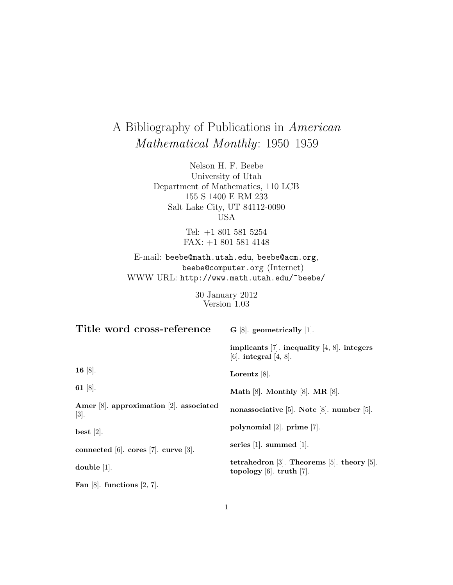# A Bibliography of Publications in American Mathematical Monthly: 1950–1959

Nelson H. F. Beebe University of Utah Department of Mathematics, 110 LCB 155 S 1400 E RM 233 Salt Lake City, UT 84112-0090 USA

> Tel: +1 801 581 5254 FAX: +1 801 581 4148

E-mail: beebe@math.utah.edu, beebe@acm.org, beebe@computer.org (Internet) WWW URL: http://www.math.utah.edu/~beebe/

> 30 January 2012 Version 1.03

| Title word cross-reference                               | $G$ [8]. geometrically [1].                                                           |
|----------------------------------------------------------|---------------------------------------------------------------------------------------|
|                                                          | implicants [7]. inequality [4, 8]. integers<br>[6]. integral $[4, 8]$ .               |
| 16 $[8]$ .                                               | Lorentz $[8]$ .                                                                       |
| 61 [8].                                                  | Math $[8]$ . Monthly $[8]$ . MR $[8]$ .                                               |
| Amer $[8]$ . approximation $[2]$ . associated<br>$[3]$ . | nonassociative [5]. Note [8]. number [5].                                             |
| best $[2]$ .                                             | polynomial $[2]$ . prime $[7]$ .                                                      |
| connected [6]. cores [7]. curve [3].                     | series $[1]$ . summed $[1]$ .                                                         |
| double $[1]$ .                                           | tetrahedron $[3]$ . Theorems $[5]$ . theory $[5]$ .<br>topology $[6]$ . truth $[7]$ . |
| Fan $[8]$ . functions $[2, 7]$ .                         |                                                                                       |

1